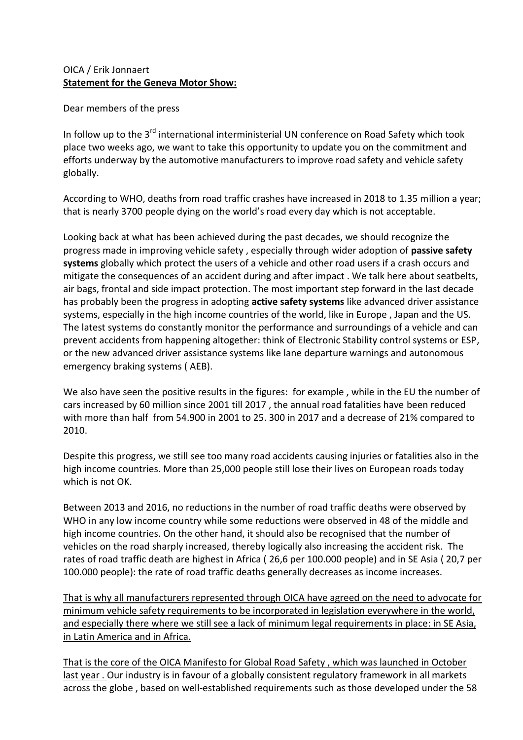## OICA / Erik Jonnaert **Statement for the Geneva Motor Show:**

Dear members of the press

In follow up to the 3<sup>rd</sup> international interministerial UN conference on Road Safety which took place two weeks ago, we want to take this opportunity to update you on the commitment and efforts underway by the automotive manufacturers to improve road safety and vehicle safety globally.

According to WHO, deaths from road traffic crashes have increased in 2018 to 1.35 million a year; that is nearly 3700 people dying on the world's road every day which is not acceptable.

Looking back at what has been achieved during the past decades, we should recognize the progress made in improving vehicle safety , especially through wider adoption of **passive safety systems** globally which protect the users of a vehicle and other road users if a crash occurs and mitigate the consequences of an accident during and after impact . We talk here about seatbelts, air bags, frontal and side impact protection. The most important step forward in the last decade has probably been the progress in adopting **active safety systems** like advanced driver assistance systems, especially in the high income countries of the world, like in Europe , Japan and the US. The latest systems do constantly monitor the performance and surroundings of a vehicle and can prevent accidents from happening altogether: think of Electronic Stability control systems or ESP, or the new advanced driver assistance systems like lane departure warnings and autonomous emergency braking systems ( AEB).

We also have seen the positive results in the figures: for example , while in the EU the number of cars increased by 60 million since 2001 till 2017 , the annual road fatalities have been reduced with more than half from 54.900 in 2001 to 25. 300 in 2017 and a decrease of 21% compared to 2010.

Despite this progress, we still see too many road accidents causing injuries or fatalities also in the high income countries. More than 25,000 people still lose their lives on European roads today which is not OK.

Between 2013 and 2016, no reductions in the number of road traffic deaths were observed by WHO in any low income country while some reductions were observed in 48 of the middle and high income countries. On the other hand, it should also be recognised that the number of vehicles on the road sharply increased, thereby logically also increasing the accident risk. The rates of road traffic death are highest in Africa ( 26,6 per 100.000 people) and in SE Asia ( 20,7 per 100.000 people): the rate of road traffic deaths generally decreases as income increases.

That is why all manufacturers represented through OICA have agreed on the need to advocate for minimum vehicle safety requirements to be incorporated in legislation everywhere in the world, and especially there where we still see a lack of minimum legal requirements in place: in SE Asia, in Latin America and in Africa.

That is the core of the OICA Manifesto for Global Road Safety , which was launched in October last year . Our industry is in favour of a globally consistent regulatory framework in all markets across the globe , based on well-established requirements such as those developed under the 58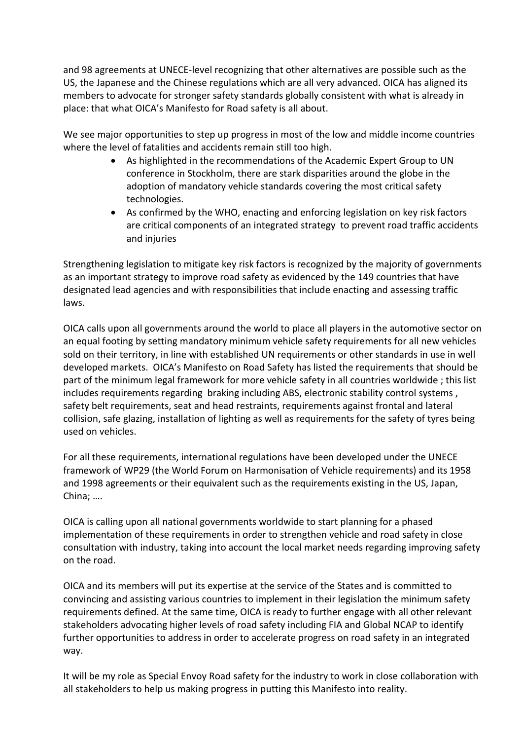and 98 agreements at UNECE-level recognizing that other alternatives are possible such as the US, the Japanese and the Chinese regulations which are all very advanced. OICA has aligned its members to advocate for stronger safety standards globally consistent with what is already in place: that what OICA's Manifesto for Road safety is all about.

We see major opportunities to step up progress in most of the low and middle income countries where the level of fatalities and accidents remain still too high.

- As highlighted in the recommendations of the Academic Expert Group to UN conference in Stockholm, there are stark disparities around the globe in the adoption of mandatory vehicle standards covering the most critical safety technologies.
- As confirmed by the WHO, enacting and enforcing legislation on key risk factors are critical components of an integrated strategy to prevent road traffic accidents and injuries

Strengthening legislation to mitigate key risk factors is recognized by the majority of governments as an important strategy to improve road safety as evidenced by the 149 countries that have designated lead agencies and with responsibilities that include enacting and assessing traffic laws.

OICA calls upon all governments around the world to place all players in the automotive sector on an equal footing by setting mandatory minimum vehicle safety requirements for all new vehicles sold on their territory, in line with established UN requirements or other standards in use in well developed markets. OICA's Manifesto on Road Safety has listed the requirements that should be part of the minimum legal framework for more vehicle safety in all countries worldwide ; this list includes requirements regarding braking including ABS, electronic stability control systems, safety belt requirements, seat and head restraints, requirements against frontal and lateral collision, safe glazing, installation of lighting as well as requirements for the safety of tyres being used on vehicles.

For all these requirements, international regulations have been developed under the UNECE framework of WP29 (the World Forum on Harmonisation of Vehicle requirements) and its 1958 and 1998 agreements or their equivalent such as the requirements existing in the US, Japan, China; ….

OICA is calling upon all national governments worldwide to start planning for a phased implementation of these requirements in order to strengthen vehicle and road safety in close consultation with industry, taking into account the local market needs regarding improving safety on the road.

OICA and its members will put its expertise at the service of the States and is committed to convincing and assisting various countries to implement in their legislation the minimum safety requirements defined. At the same time, OICA is ready to further engage with all other relevant stakeholders advocating higher levels of road safety including FIA and Global NCAP to identify further opportunities to address in order to accelerate progress on road safety in an integrated way.

It will be my role as Special Envoy Road safety for the industry to work in close collaboration with all stakeholders to help us making progress in putting this Manifesto into reality.